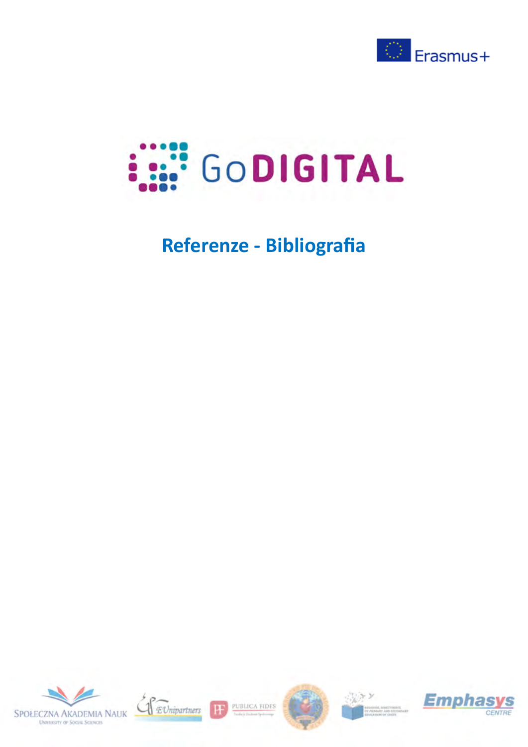



## **Referenze - Bibliografia**





PUBLICA FIDES F





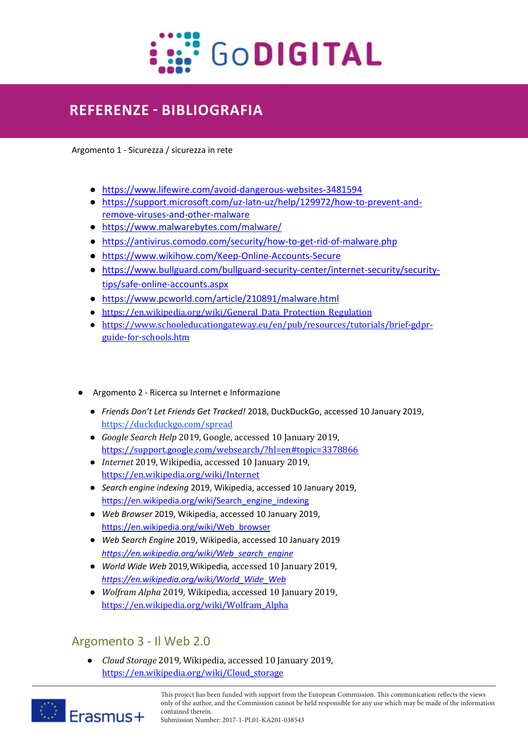

## **REFERENZE - BIBLIOGRAFIA**

Argomento 1 - Sicurezza / sicurezza in rete

- https://www.lifewire.com/avoid-dangerous-websites-3481594
- https://support.microsoft.com/uz-latn-uz/help/129972/how-to-prevent-andremove-viruses-and-other-malware
- https://www.malwarebytes.com/malware/
- https://antivirus.comodo.com/security/how-to-get-rid-of-malware.php
- https://www.wikihow.com/Keep-Online-Accounts-Secure
- https://www.bullguard.com/bullguard-security-center/internet-security/securitytips/safe-online-accounts.aspx
- https://www.pcworld.com/article/210891/malware.html
- https://en.wikipedia.org/wiki/General\_Data\_Protection\_Regulation
- https://www.schooleducationgateway.eu/en/pub/resources/tutorials/brief-gdprguide-for-schools.htm
- Argomento 2 Ricerca su Internet e Informazione
	- *Friends Don't Let Friends Get Tracked!* 2018, DuckDuckGo, accessed 10 January 2019, https://duckduckgo.com/spread
	- *Google Search Help* 2019, Google, accessed 10 January 2019, https://support.google.com/websearch/?hl=en#topic=3378866
	- *Internet* 2019, Wikipedia, accessed 10 January 2019, https://en.wikipedia.org/wiki/Internet
	- *Search engine indexing* 2019, Wikipedia, accessed 10 January 2019, https://en.wikipedia.org/wiki/Search\_engine\_indexing
	- *Web Browser* 2019, Wikipedia, accessed 10 January 2019, https://en.wikipedia.org/wiki/Web\_browser
	- *Web Search Engine* 2019, Wikipedia, accessed 10 January 2019 *https://en.wikipedia.org/wiki/Web\_search\_engine*
	- *World Wide Web* 2019*,*Wikipedia*,* accessed 10 January 2019, *https://en.wikipedia.org/wiki/World\_Wide\_Web*
	- *Wolfram Alpha* 2019*,* Wikipedia, accessed 10 January 2019, https://en.wikipedia.org/wiki/Wolfram\_Alpha

## Argomento 3 - Il Web 2.0

● *Cloud Storage* 2019, Wikipedia, accessed 10 January 2019, https://en.wikipedia.org/wiki/Cloud\_storage